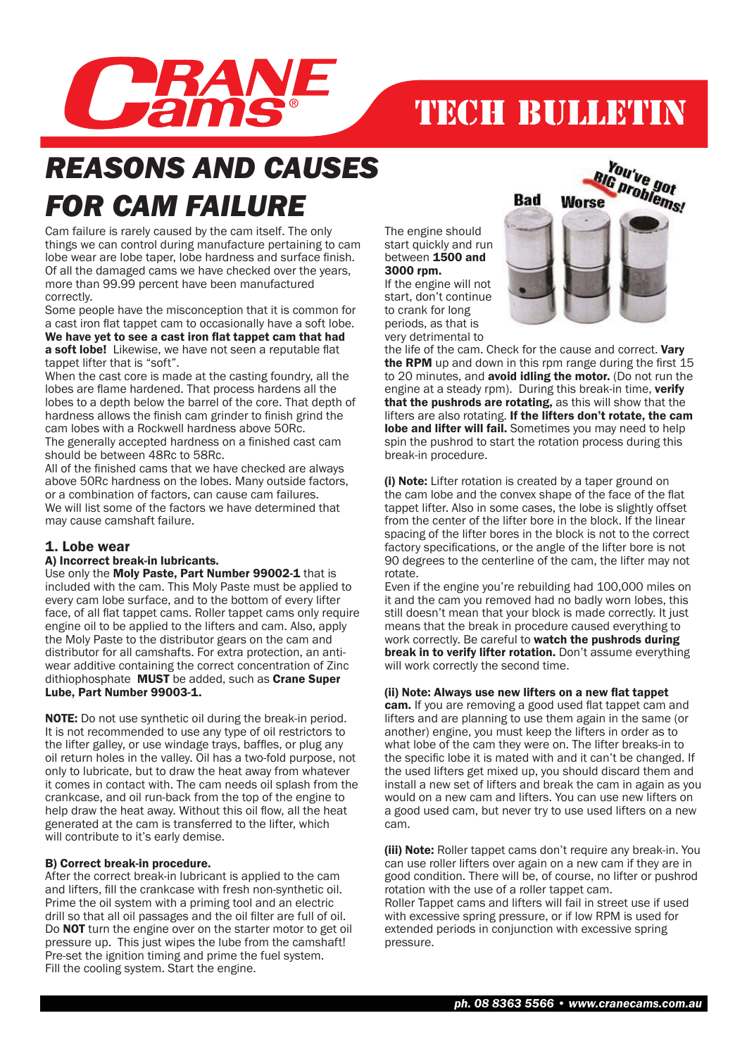

# TECH BULLETIN

# *REASONS AND CAUSES FOR CAM FAILURE*

Cam failure is rarely caused by the cam itself. The only things we can control during manufacture pertaining to cam lobe wear are lobe taper, lobe hardness and surface finish. Of all the damaged cams we have checked over the years, more than 99.99 percent have been manufactured correctly.

Some people have the misconception that it is common for a cast iron flat tappet cam to occasionally have a soft lobe. We have yet to see a cast iron flat tappet cam that had a soft lobe! Likewise, we have not seen a reputable flat tappet lifter that is "soft".

When the cast core is made at the casting foundry, all the lobes are flame hardened. That process hardens all the lobes to a depth below the barrel of the core. That depth of hardness allows the finish cam grinder to finish grind the cam lobes with a Rockwell hardness above 50Rc. The generally accepted hardness on a finished cast cam should be between 48Rc to 58Rc.

All of the finished cams that we have checked are always above 50Rc hardness on the lobes. Many outside factors, or a combination of factors, can cause cam failures. We will list some of the factors we have determined that may cause camshaft failure.

### 1. Lobe wear

### A) Incorrect break-in lubricants.

Use only the Moly Paste. Part Number 99002-1 that is included with the cam. This Moly Paste must be applied to every cam lobe surface, and to the bottom of every lifter face, of all flat tappet cams. Roller tappet cams only require engine oil to be applied to the lifters and cam. Also, apply the Moly Paste to the distributor gears on the cam and distributor for all camshafts. For extra protection, an antiwear additive containing the correct concentration of Zinc dithiophosphate MUST be added, such as Crane Super Lube, Part Number 99003-1.

NOTE: Do not use synthetic oil during the break-in period. It is not recommended to use any type of oil restrictors to the lifter galley, or use windage trays, baffles, or plug any oil return holes in the valley. Oil has a two-fold purpose, not only to lubricate, but to draw the heat away from whatever it comes in contact with. The cam needs oil splash from the crankcase, and oil run-back from the top of the engine to help draw the heat away. Without this oil flow, all the heat generated at the cam is transferred to the lifter, which will contribute to it's early demise.

### B) Correct break-in procedure.

After the correct break-in lubricant is applied to the cam and lifters, fill the crankcase with fresh non-synthetic oil. Prime the oil system with a priming tool and an electric drill so that all oil passages and the oil filter are full of oil. Do **NOT** turn the engine over on the starter motor to get oil pressure up. This just wipes the lube from the camshaft! Pre-set the ignition timing and prime the fuel system. Fill the cooling system. Start the engine.

The engine should start quickly and run between 1500 and 3000 rpm.

If the engine will not start, don't continue to crank for long periods, as that is very detrimental to



the life of the cam. Check for the cause and correct. Vary the RPM up and down in this rpm range during the first  $15$ to 20 minutes, and avoid idling the motor. (Do not run the engine at a steady rpm). During this break-in time, verify that the pushrods are rotating, as this will show that the lifters are also rotating. If the lifters don't rotate, the cam lobe and lifter will fail. Sometimes you may need to help spin the pushrod to start the rotation process during this break-in procedure.

(i) Note: Lifter rotation is created by a taper ground on the cam lobe and the convex shape of the face of the flat tappet lifter. Also in some cases, the lobe is slightly offset from the center of the lifter bore in the block. If the linear spacing of the lifter bores in the block is not to the correct factory specifications, or the angle of the lifter bore is not 90 degrees to the centerline of the cam, the lifter may not rotate.

Even if the engine you're rebuilding had 100,000 miles on it and the cam you removed had no badly worn lobes, this still doesn't mean that your block is made correctly. It just means that the break in procedure caused everything to work correctly. Be careful to watch the pushrods during break in to verify lifter rotation. Don't assume everything will work correctly the second time.

### (ii) Note: Always use new lifters on a new flat tappet

cam. If you are removing a good used flat tappet cam and lifters and are planning to use them again in the same (or another) engine, you must keep the lifters in order as to what lobe of the cam they were on. The lifter breaks-in to the specific lobe it is mated with and it can't be changed. If the used lifters get mixed up, you should discard them and install a new set of lifters and break the cam in again as you would on a new cam and lifters. You can use new lifters on a good used cam, but never try to use used lifters on a new cam.

(iii) Note: Roller tappet cams don't require any break-in. You can use roller lifters over again on a new cam if they are in good condition. There will be, of course, no lifter or pushrod rotation with the use of a roller tappet cam. Roller Tappet cams and lifters will fail in street use if used with excessive spring pressure, or if low RPM is used for extended periods in conjunction with excessive spring pressure.